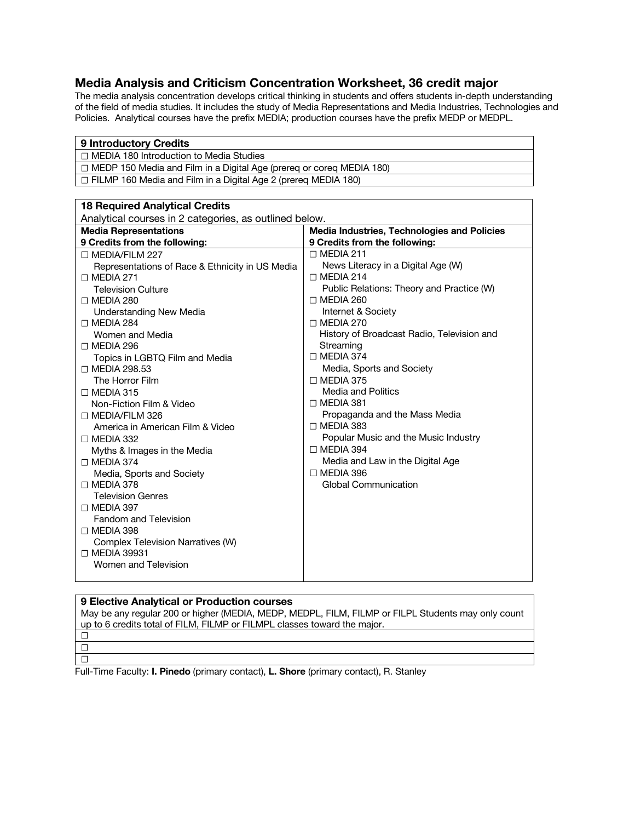# **Media Analysis and Criticism Concentration Worksheet, 36 credit major**

The media analysis concentration develops critical thinking in students and offers students in-depth understanding of the field of media studies. It includes the study of Media Representations and Media Industries, Technologies and Policies. Analytical courses have the prefix MEDIA; production courses have the prefix MEDP or MEDPL.

| □ MEDIA 180 Introduction to Media Studies<br>□ MEDP 150 Media and Film in a Digital Age (prereq or coreq MEDIA 180)<br>□ FILMP 160 Media and Film in a Digital Age 2 (prereq MEDIA 180)<br><b>18 Required Analytical Credits</b><br>Analytical courses in 2 categories, as outlined below.<br><b>Media Representations</b><br>Media Industries, Technologies and Policies<br>9 Credits from the following:<br>9 Credits from the following:<br>$\Box$ MEDIA 211<br>$\Box$ MEDIA/FILM 227<br>News Literacy in a Digital Age (W)<br>Representations of Race & Ethnicity in US Media<br>$\Box$ MEDIA 214<br>$\Box$ MEDIA 271<br>Public Relations: Theory and Practice (W)<br><b>Television Culture</b><br>$\Box$ MEDIA 260<br>$\Box$ MEDIA 280<br>Internet & Society<br>Understanding New Media<br>$\Box$ MEDIA 270<br>$\Box$ MEDIA 284<br>History of Broadcast Radio, Television and<br>Women and Media |
|-------------------------------------------------------------------------------------------------------------------------------------------------------------------------------------------------------------------------------------------------------------------------------------------------------------------------------------------------------------------------------------------------------------------------------------------------------------------------------------------------------------------------------------------------------------------------------------------------------------------------------------------------------------------------------------------------------------------------------------------------------------------------------------------------------------------------------------------------------------------------------------------------------|
|                                                                                                                                                                                                                                                                                                                                                                                                                                                                                                                                                                                                                                                                                                                                                                                                                                                                                                       |
|                                                                                                                                                                                                                                                                                                                                                                                                                                                                                                                                                                                                                                                                                                                                                                                                                                                                                                       |
|                                                                                                                                                                                                                                                                                                                                                                                                                                                                                                                                                                                                                                                                                                                                                                                                                                                                                                       |
|                                                                                                                                                                                                                                                                                                                                                                                                                                                                                                                                                                                                                                                                                                                                                                                                                                                                                                       |
|                                                                                                                                                                                                                                                                                                                                                                                                                                                                                                                                                                                                                                                                                                                                                                                                                                                                                                       |
|                                                                                                                                                                                                                                                                                                                                                                                                                                                                                                                                                                                                                                                                                                                                                                                                                                                                                                       |
|                                                                                                                                                                                                                                                                                                                                                                                                                                                                                                                                                                                                                                                                                                                                                                                                                                                                                                       |
|                                                                                                                                                                                                                                                                                                                                                                                                                                                                                                                                                                                                                                                                                                                                                                                                                                                                                                       |
|                                                                                                                                                                                                                                                                                                                                                                                                                                                                                                                                                                                                                                                                                                                                                                                                                                                                                                       |
|                                                                                                                                                                                                                                                                                                                                                                                                                                                                                                                                                                                                                                                                                                                                                                                                                                                                                                       |
|                                                                                                                                                                                                                                                                                                                                                                                                                                                                                                                                                                                                                                                                                                                                                                                                                                                                                                       |
|                                                                                                                                                                                                                                                                                                                                                                                                                                                                                                                                                                                                                                                                                                                                                                                                                                                                                                       |
|                                                                                                                                                                                                                                                                                                                                                                                                                                                                                                                                                                                                                                                                                                                                                                                                                                                                                                       |
|                                                                                                                                                                                                                                                                                                                                                                                                                                                                                                                                                                                                                                                                                                                                                                                                                                                                                                       |
|                                                                                                                                                                                                                                                                                                                                                                                                                                                                                                                                                                                                                                                                                                                                                                                                                                                                                                       |
|                                                                                                                                                                                                                                                                                                                                                                                                                                                                                                                                                                                                                                                                                                                                                                                                                                                                                                       |
| Streaming<br>$\Box$ MEDIA 296                                                                                                                                                                                                                                                                                                                                                                                                                                                                                                                                                                                                                                                                                                                                                                                                                                                                         |
| $\Box$ MEDIA 374<br>Topics in LGBTQ Film and Media                                                                                                                                                                                                                                                                                                                                                                                                                                                                                                                                                                                                                                                                                                                                                                                                                                                    |
| $\Box$ MEDIA 298.53<br>Media, Sports and Society                                                                                                                                                                                                                                                                                                                                                                                                                                                                                                                                                                                                                                                                                                                                                                                                                                                      |
| $\Box$ MEDIA 375<br>The Horror Film                                                                                                                                                                                                                                                                                                                                                                                                                                                                                                                                                                                                                                                                                                                                                                                                                                                                   |
| <b>Media and Politics</b><br>$\Box$ MEDIA 315                                                                                                                                                                                                                                                                                                                                                                                                                                                                                                                                                                                                                                                                                                                                                                                                                                                         |
| $\Box$ MEDIA 381<br>Non-Fiction Film & Video                                                                                                                                                                                                                                                                                                                                                                                                                                                                                                                                                                                                                                                                                                                                                                                                                                                          |
| Propaganda and the Mass Media<br>$\Box$ MEDIA/FILM 326                                                                                                                                                                                                                                                                                                                                                                                                                                                                                                                                                                                                                                                                                                                                                                                                                                                |
| $\Box$ MEDIA 383<br>America in American Film & Video                                                                                                                                                                                                                                                                                                                                                                                                                                                                                                                                                                                                                                                                                                                                                                                                                                                  |
| Popular Music and the Music Industry<br>$\Box$ MEDIA 332                                                                                                                                                                                                                                                                                                                                                                                                                                                                                                                                                                                                                                                                                                                                                                                                                                              |
| $\Box$ MEDIA 394<br>Myths & Images in the Media                                                                                                                                                                                                                                                                                                                                                                                                                                                                                                                                                                                                                                                                                                                                                                                                                                                       |
| Media and Law in the Digital Age<br>$\Box$ MEDIA 374<br>$\Box$ MEDIA 396                                                                                                                                                                                                                                                                                                                                                                                                                                                                                                                                                                                                                                                                                                                                                                                                                              |
| Media, Sports and Society<br>Global Communication                                                                                                                                                                                                                                                                                                                                                                                                                                                                                                                                                                                                                                                                                                                                                                                                                                                     |
| $\Box$ MEDIA 378                                                                                                                                                                                                                                                                                                                                                                                                                                                                                                                                                                                                                                                                                                                                                                                                                                                                                      |
| <b>Television Genres</b><br>$\Box$ MEDIA 397                                                                                                                                                                                                                                                                                                                                                                                                                                                                                                                                                                                                                                                                                                                                                                                                                                                          |
| Fandom and Television                                                                                                                                                                                                                                                                                                                                                                                                                                                                                                                                                                                                                                                                                                                                                                                                                                                                                 |
| $\Box$ MEDIA 398                                                                                                                                                                                                                                                                                                                                                                                                                                                                                                                                                                                                                                                                                                                                                                                                                                                                                      |
| Complex Television Narratives (W)                                                                                                                                                                                                                                                                                                                                                                                                                                                                                                                                                                                                                                                                                                                                                                                                                                                                     |
| $\Box$ MEDIA 39931                                                                                                                                                                                                                                                                                                                                                                                                                                                                                                                                                                                                                                                                                                                                                                                                                                                                                    |
| Women and Television                                                                                                                                                                                                                                                                                                                                                                                                                                                                                                                                                                                                                                                                                                                                                                                                                                                                                  |
|                                                                                                                                                                                                                                                                                                                                                                                                                                                                                                                                                                                                                                                                                                                                                                                                                                                                                                       |

**9 Elective Analytical or Production courses** May be any regular 200 or higher (MEDIA, MEDP, MEDPL, FILM, FILMP or FILPL Students may only count up to 6 credits total of FILM, FILMP or FILMPL classes toward the major.  $\Box$  $\overline{\Box}$ 

Full-Time Faculty: **I. Pinedo** (primary contact), **L. Shore** (primary contact), R. Stanley

 $\Box$